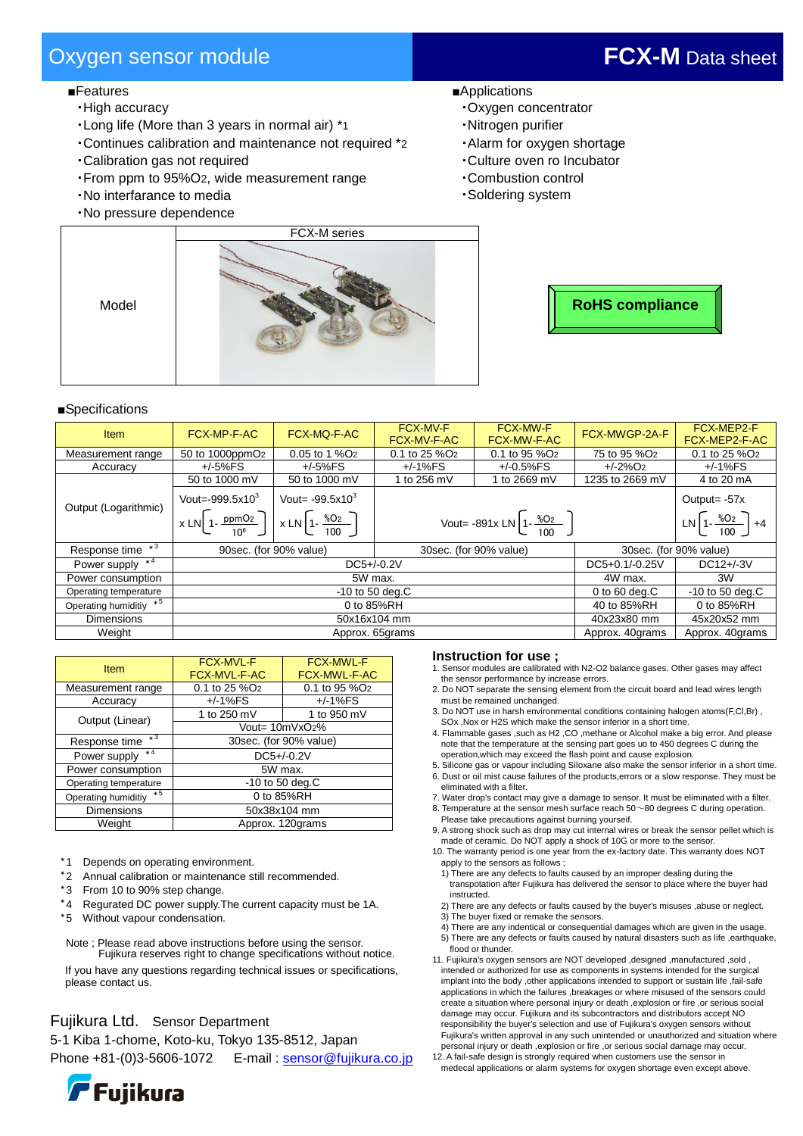# Oxygen sensor module **FCX-M** Data sheet

### ■Features

- ・High accuracy
- ・Long life (More than 3 years in normal air) \*1
- ・Continues calibration and maintenance not required \*2
- ・Calibration gas not required
- ・From ppm to 95%O2, wide measurement range
- ・No interfarance to media
- ・No pressure dependence
- ■Applications
	- ・Oxygen concentrator
	- ・Nitrogen purifier
	- ・Alarm for oxygen shortage
	- ・Culture oven ro Incubator
	- ・Combustion control
	- ・Soldering system





#### ■Specifications

Model

| <b>Item</b>              | <b>FCX-MP-F-AC</b>                                                                            | FCX-MQ-F-AC               | <b>FCX-MV-F</b><br><b>FCX-MV-F-AC</b>            | <b>FCX-MW-F</b><br><b>FCX-MW-F-AC</b> | FCX-MWGP-2A-F            | FCX-MEP2-F<br>FCX-MEP2-F-AC            |
|--------------------------|-----------------------------------------------------------------------------------------------|---------------------------|--------------------------------------------------|---------------------------------------|--------------------------|----------------------------------------|
| Measurement range        | 50 to 1000ppmO <sub>2</sub>                                                                   | 0.05 to 1 %O <sub>2</sub> | $0.1$ to 25 %O <sub>2</sub>                      | $0.1$ to 95 %O <sub>2</sub>           | 75 to 95 %O <sub>2</sub> | 0.1 to 25 %O <sub>2</sub>              |
| Accuracy                 | $+/-5%FS$                                                                                     | $+/-5%FS$                 | $+/-1%FS$                                        | $+/-0.5%$ FS                          | $+/-2\%$ O <sub>2</sub>  | +/-1%FS                                |
| Output (Logarithmic)     | 50 to 1000 mV                                                                                 | 50 to 1000 mV             | 1 to 256 mV                                      | 1 to 2669 mV                          | 1235 to 2669 mV          | 4 to 20 mA                             |
|                          | Vout=-999.5x10 $3$                                                                            | Vout= $-99.5x10^3$        |                                                  |                                       |                          | Output= $-57x$                         |
|                          | $x \text{LN}\left[1-\frac{ppmO_2}{10^6}\right]$ $x \text{LN}\left[1-\frac{\%O_2}{100}\right]$ |                           | Vout= -891x LN $\left[1-\frac{\%02}{100}\right]$ |                                       |                          | LN $\left[1-\frac{\%02}{100}\right]+4$ |
| $*3$<br>Response time    | 90sec. (for 90% value)                                                                        |                           | 30sec. (for 90% value)                           |                                       | 30sec. (for 90% value)   |                                        |
| Power supply $*4$        | $DC5+/-0.2V$                                                                                  |                           |                                                  | DC5+0.1/-0.25V                        | DC12+/-3V                |                                        |
| Power consumption        | 5W max.                                                                                       |                           |                                                  | 4W max.                               | 3W                       |                                        |
| Operating temperature    | $-10$ to 50 deg.C                                                                             |                           |                                                  |                                       | 0 to 60 deg. $C$         | $-10$ to 50 deg.C                      |
| Operating humiditiy $*5$ | 0 to 85%RH                                                                                    |                           |                                                  | 40 to 85%RH                           | 0 to 85%RH               |                                        |
| <b>Dimensions</b>        | 50x16x104 mm                                                                                  |                           |                                                  | 40x23x80 mm                           | 45x20x52 mm              |                                        |
| Weight                   | Approx. 65grams                                                                               |                           |                                                  |                                       | Approx. 40grams          | Approx. 40grams                        |

| Item                        | <b>FCX-MVL-F</b><br><b>FCX-MVL-F-AC</b> | <b>FCX-MWL-F</b><br>FCX-MWL-F-AC |  |  |
|-----------------------------|-----------------------------------------|----------------------------------|--|--|
| Measurement range           | 0.1 to 25 %O <sub>2</sub>               | 0.1 to 95 %O <sub>2</sub>        |  |  |
| Accuracy                    | $+/-1%FS$                               | $+/-1%FS$                        |  |  |
| Output (Linear)             | 1 to 250 mV                             | 1 to 950 mV                      |  |  |
|                             | Vout= 10mVxO2%                          |                                  |  |  |
| $*3$<br>Response time       | 30sec. (for 90% value)                  |                                  |  |  |
| $*4$<br>Power supply        | $DC5+/0.2V$                             |                                  |  |  |
| Power consumption           | 5W max.                                 |                                  |  |  |
| Operating temperature       | $-10$ to 50 deg.C                       |                                  |  |  |
| $*5$<br>Operating humiditiy | 0 to 85%RH                              |                                  |  |  |
| <b>Dimensions</b>           | 50x38x104 mm                            |                                  |  |  |
| Weight                      | Approx. 120grams                        |                                  |  |  |

- \*1 Depends on operating environment.
- \*2 Annual calibration or maintenance still recommended.
- \*3 From 10 to 90% step change.
- \*4 Regurated DC power supply.The current capacity must be 1A.
- \*5 Without vapour condensation.

Note ; Please read above instructions before using the sensor. Fujikura reserves right to change specifications without notice.

If you have any questions regarding technical issues or specifications, please contact us.

# Fujikura Ltd. Sensor Department

5-1 Kiba 1-chome, Koto-ku, Tokyo 135-8512, Japan Phone +81-(0)3-5606-1072 E-mail[: sensor@fujikura.co.jp](mailto:sensor@fujikura.co.jp)



#### **Instruction for use ;**

- 1. Sensor modules are calibrated with N2-O2 balance gases. Other gases may affect the sensor performance by increase errors.
- 2. Do NOT separate the sensing element from the circuit board and lead wires length must be remained unchanged.
- 3. Do NOT use in harsh environmental conditions containing halogen atoms(F,Cl,Br) , SOx ,Nox or H2S which make the sensor inferior in a short time.
- 4. Flammable gases ,such as H2 ,CO ,methane or Alcohol make a big error. And please note that the temperature at the sensing part goes uo to 450 degrees C during the operation,which may exceed the flash point and cause explosion.
- 5. Silicone gas or vapour including Siloxane also make the sensor inferior in a short time. 6. Dust or oil mist cause failures of the products,errors or a slow response. They must be
- eliminated with a filter. 7. Water drop's contact may give a damage to sensor. It must be eliminated with a filter.
- 8. Temperature at the sensor mesh surface reach 50~80 degrees C during operation. Please take precautions against burning yourseif.
- 9. A strong shock such as drop may cut internal wires or break the sensor pellet which is made of ceramic. Do NOT apply a shock of 10G or more to the sensor.

10. The warranty period is one year from the ex-factory date. This warranty does NOT apply to the sensors as follows ;

- 1) There are any defects to faults caused by an improper dealing during the transpotation after Fujikura has delivered the sensor to place where the buyer had instructed.
- 2) There are any defects or faults caused by the buyer's misuses ,abuse or neglect. 3) The buyer fixed or remake the sensors.
- 4) There are any indentical or consequential damages which are given in the usage.
- 5) There are any defects or faults caused by natural disasters such as life ,earthquake, flood or thunder.
- 11. Fujikura's oxygen sensors are NOT developed ,designed ,manufactured ,sold , intended or authorized for use as components in systems intended for the surgical implant into the body ,other applications intended to support or sustain life ,fail-safe applications in which the failures ,breakages or where misused of the sensors could create a situation where personal injury or death ,explosion or fire ,or serious social damage may occur. Fujikura and its subcontractors and distributors accept NO responsibility the buyer's selection and use of Fujikura's oxygen sensors without Fujikura's written approval in any such unintended or unauthorized and situation where personal injury or death ,explosion or fire ,or serious social damage may occur.

12. A fail-safe design is strongly required when customers use the sensor in medecal applications or alarm systems for oxygen shortage even except above.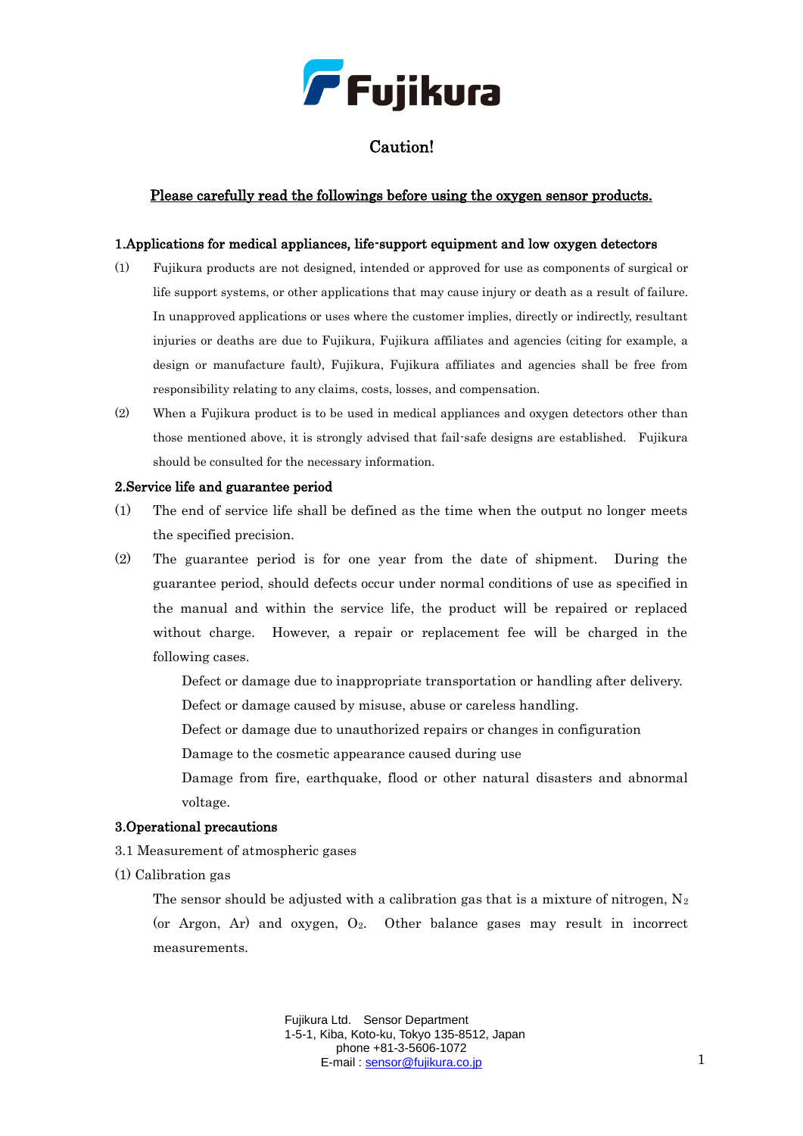

# Caution!

# Please carefully read the followings before using the oxygen sensor products.

#### 1.Applications for medical appliances, life-support equipment and low oxygen detectors

- (1) Fujikura products are not designed, intended or approved for use as components of surgical or life support systems, or other applications that may cause injury or death as a result of failure. In unapproved applications or uses where the customer implies, directly or indirectly, resultant injuries or deaths are due to Fujikura, Fujikura affiliates and agencies (citing for example, a design or manufacture fault), Fujikura, Fujikura affiliates and agencies shall be free from responsibility relating to any claims, costs, losses, and compensation.
- (2) When a Fujikura product is to be used in medical appliances and oxygen detectors other than those mentioned above, it is strongly advised that fail-safe designs are established. Fujikura should be consulted for the necessary information.

#### 2.Service life and guarantee period

- (1) The end of service life shall be defined as the time when the output no longer meets the specified precision.
- (2) The guarantee period is for one year from the date of shipment. During the guarantee period, should defects occur under normal conditions of use as specified in the manual and within the service life, the product will be repaired or replaced without charge. However, a repair or replacement fee will be charged in the following cases.

Defect or damage due to inappropriate transportation or handling after delivery.

Defect or damage caused by misuse, abuse or careless handling.

Defect or damage due to unauthorized repairs or changes in configuration

Damage to the cosmetic appearance caused during use

Damage from fire, earthquake, flood or other natural disasters and abnormal voltage.

#### 3.Operational precautions

- 3.1 Measurement of atmospheric gases
- (1) Calibration gas

The sensor should be adjusted with a calibration gas that is a mixture of nitrogen,  $N_2$ (or Argon, Ar) and oxygen,  $O_2$ . Other balance gases may result in incorrect measurements.

> Fujikura Ltd. Sensor Department 1-5-1, Kiba, Koto-ku, Tokyo 135-8512, Japan phone +81-3-5606-1072 E-mail : [sensor@fujikura.co.jp](mailto:sensor@fujikura.co.jp) 1